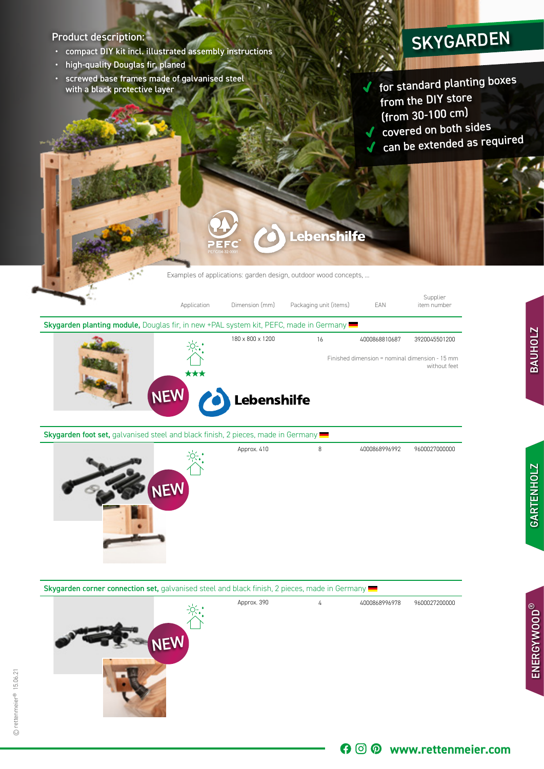## Product description:

- compact DIY kit incl. illustrated assembly instructions
- high-quality Douglas fir, planed
- screwed base frames made of galvanised steel with a black protective layer

## SKYGARDEN

for standard planting boxes from the DIY store (from 30-100 cm) ◆ covered on both sides can be extended as required

Examples of applications: garden design, outdoor wood concepts, ...

**Lebenshilfe** 



Skygarden foot set, galvanised steel and black finish, 2 pieces, made in Germany



Skygarden corner connection set, galvanised steel and black finish, 2 pieces, made in Germany



68